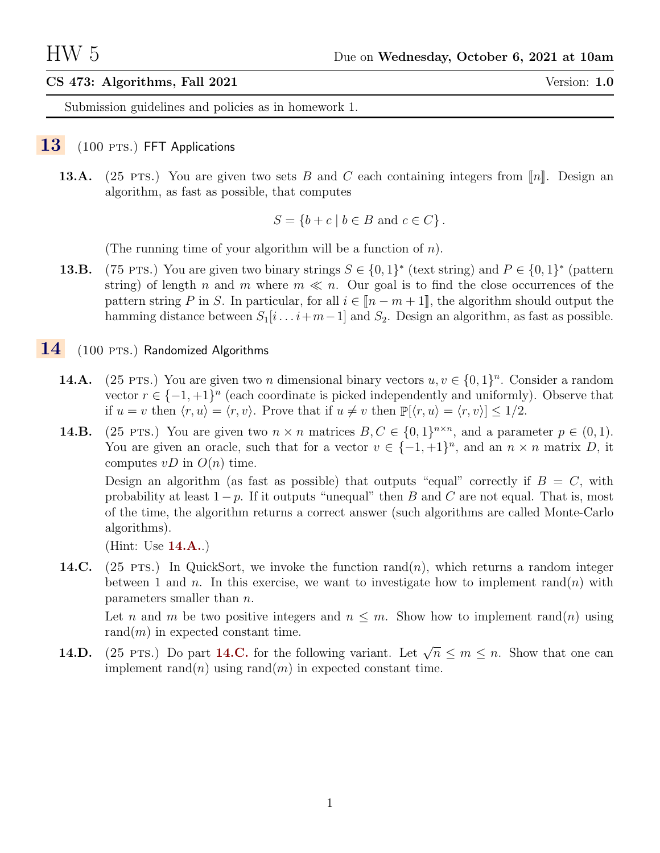## $CS$  473: Algorithms, Fall 2021 Version: 1.0

Submission guidelines and policies as in homework 1.

## $13$  (100 PTS.) FFT Applications

**13.A.** (25 PTS.) You are given two sets B and C each containing integers from  $\llbracket n \rrbracket$ . Design an algorithm, as fast as possible, that computes

$$
S = \{b + c \mid b \in B \text{ and } c \in C\}.
$$

(The running time of your algorithm will be a function of  $n$ ).

- **13.B.** (75 PTS.) You are given two binary strings  $S \in \{0,1\}^*$  (text string) and  $P \in \{0,1\}^*$  (pattern string) of length n and m where  $m \ll n$ . Our goal is to find the close occurrences of the pattern string P in S. In particular, for all  $i \in [n-m+1]$ , the algorithm should output the hamming distance between  $S_1[i \dots i+m-1]$  and  $S_2$ . Design an algorithm, as fast as possible.
- <span id="page-0-0"></span> $14$  (100 PTS.) Randomized Algorithms
	- **14.A.** (25 PTS.) You are given two *n* dimensional binary vectors  $u, v \in \{0, 1\}^n$ . Consider a random vector  $r \in \{-1, +1\}^n$  (each coordinate is picked independently and uniformly). Observe that if  $u = v$  then  $\langle r, u \rangle = \langle r, v \rangle$ . Prove that if  $u \neq v$  then  $\mathbb{P}[\langle r, u \rangle = \langle r, v \rangle] \leq 1/2$ .
	- **14.B.** (25 PTS.) You are given two  $n \times n$  matrices  $B, C \in \{0, 1\}^{n \times n}$ , and a parameter  $p \in (0, 1)$ . You are given an oracle, such that for a vector  $v \in \{-1, +1\}^n$ , and an  $n \times n$  matrix D, it computes  $vD$  in  $O(n)$  time.

Design an algorithm (as fast as possible) that outputs "equal" correctly if  $B = C$ , with probability at least  $1-p$ . If it outputs "unequal" then B and C are not equal. That is, most of the time, the algorithm returns a correct answer (such algorithms are called Monte-Carlo algorithms).

(Hint: Use  $14.A..$  $14.A..$ )

<span id="page-0-1"></span>14.C. (25 PTS.) In QuickSort, we invoke the function rand(n), which returns a random integer between 1 and n. In this exercise, we want to investigate how to implement rand(n) with parameters smaller than n.

Let n and m be two positive integers and  $n \leq m$ . Show how to implement rand(n) using rand $(m)$  in expected constant time.

**14.D.** (25 PTS.) Do part **[14.C.](#page-0-1)** for the following variant. Let  $\sqrt{n} \le m \le n$ . Show that one can implement rand $(n)$  using rand $(m)$  in expected constant time.